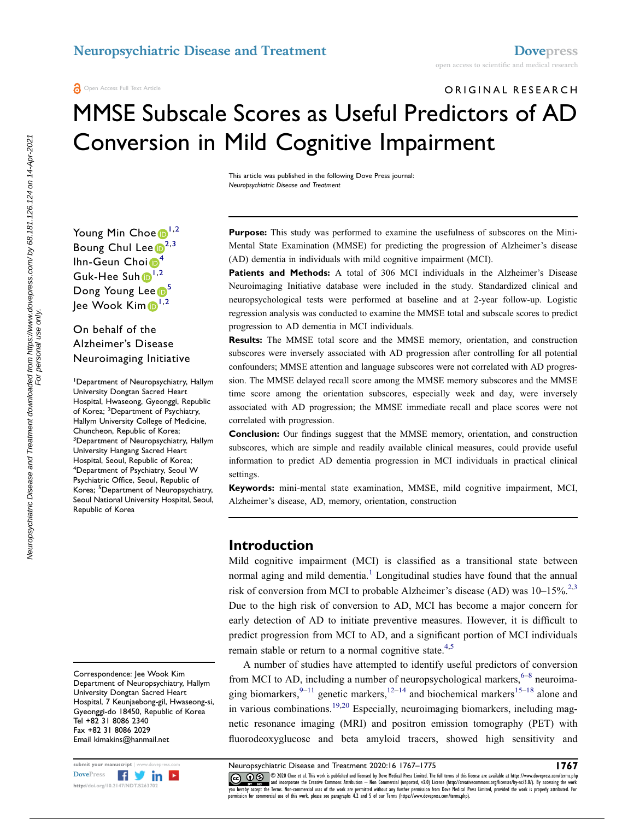# ORIGINAL RESEARCH MMSE Subscale Scores as Useful Predictors of AD Conversion in Mild Cognitive Impairment

This article was published in the following Dove Press journal: Neuropsychiatric Disease and Treatment

Young Min Choe<sup>[1,](#page-0-0)[2](#page-0-1)</sup> Boung Chul Lee $\mathbb{D}^{2,3}$  $\mathbb{D}^{2,3}$  $\mathbb{D}^{2,3}$  $\mathbb{D}^{2,3}$ Ihn-Geun Choi<sup>6[4](#page-0-3)</sup> Guk-Hee Suh <sup>[1](#page-0-0),[2](#page-0-1)</sup> Dong Young Lee<sup>[5](#page-0-4)</sup> Jee Wook Kim <sup>[1](#page-0-0),[2](#page-0-1)</sup>

On behalf of the Alzheimer's Disease Neuroimaging Initiative

<span id="page-0-4"></span><span id="page-0-3"></span><span id="page-0-2"></span><span id="page-0-1"></span><span id="page-0-0"></span>1 Department of Neuropsychiatry, Hallym University Dongtan Sacred Heart Hospital, Hwaseong, Gyeonggi, Republic of Korea; <sup>2</sup>Department of Psychiatry, Hallym University College of Medicine, Chuncheon, Republic of Korea; <sup>3</sup>Department of Neuropsychiatry, Hallym University Hangang Sacred Heart Hospital, Seoul, Republic of Korea; 4 Department of Psychiatry, Seoul W Psychiatric Office, Seoul, Republic of Korea; <sup>5</sup>Department of Neuropsychiatry, Seoul National University Hospital, Seoul, Republic of Korea

Correspondence: Jee Wook Kim Department of Neuropsychiatry, Hallym University Dongtan Sacred Heart Hospital, 7 Keunjaebong-gil, Hwaseong-si, Gyeonggi-do 18450, Republic of Korea Tel +82 31 8086 2340 Fax +82 31 8086 2029 Email kimakins@hanmail.net



Purpose: This study was performed to examine the usefulness of subscores on the Mini-Mental State Examination (MMSE) for predicting the progression of Alzheimer's disease (AD) dementia in individuals with mild cognitive impairment (MCI).

Patients and Methods: A total of 306 MCI individuals in the Alzheimer's Disease Neuroimaging Initiative database were included in the study. Standardized clinical and neuropsychological tests were performed at baseline and at 2-year follow-up. Logistic regression analysis was conducted to examine the MMSE total and subscale scores to predict progression to AD dementia in MCI individuals.

Results: The MMSE total score and the MMSE memory, orientation, and construction subscores were inversely associated with AD progression after controlling for all potential confounders; MMSE attention and language subscores were not correlated with AD progression. The MMSE delayed recall score among the MMSE memory subscores and the MMSE time score among the orientation subscores, especially week and day, were inversely associated with AD progression; the MMSE immediate recall and place scores were not correlated with progression.

Conclusion: Our findings suggest that the MMSE memory, orientation, and construction subscores, which are simple and readily available clinical measures, could provide useful information to predict AD dementia progression in MCI individuals in practical clinical settings.

Keywords: mini-mental state examination, MMSE, mild cognitive impairment, MCI, Alzheimer's disease, AD, memory, orientation, construction

#### Introduction

<span id="page-0-6"></span><span id="page-0-5"></span>Mild cognitive impairment (MCI) is classified as a transitional state between normal aging and mild dementia.<sup>[1](#page-6-0)</sup> Longitudinal studies have found that the annual risk of conversion from MCI to probable Alzheimer's disease (AD) was  $10-15\%^{2,3}$  $10-15\%^{2,3}$  $10-15\%^{2,3}$  $10-15\%^{2,3}$ . Due to the high risk of conversion to AD, MCI has become a major concern for early detection of AD to initiate preventive measures. However, it is difficult to predict progression from MCI to AD, and a significant portion of MCI individuals remain stable or return to a normal cognitive state.<sup>[4](#page-6-3),[5](#page-6-4)</sup>

<span id="page-0-11"></span><span id="page-0-10"></span><span id="page-0-9"></span><span id="page-0-8"></span><span id="page-0-7"></span>A number of studies have attempted to identify useful predictors of conversion from MCI to AD, including a number of neuropsychological markers,  $6-8$  $6-8$  $6-8$  neuroimaging biomarkers,  $9-11$  $9-11$  $9-11$  genetic markers,  $12-14$  $12-14$  $12-14$  and biochemical markers  $15-18$  $15-18$  $15-18$  alone and in various combinations.<sup>[19](#page-7-3)[,20](#page-7-4)</sup> Especially, neuroimaging biomarkers, including magnetic resonance imaging (MRI) and positron emission tomography (PET) with fluorodeoxyglucose and beta amyloid tracers, showed high sensitivity and

submit your manuscript | www.dovepress.com **Neuropsychiatric Disease and Treatment 2020:16 1767–1775 1767**<br>DovePress **1989 1767 1767 1767 1767 1767 1767 1767 1767 1767 1767 1767 1767 1767 1767** CC **D** S © 2020 Choe et al. This work is published and licensed by Dove Medical Press Limited. The full terms of this license are available at https://www.dovepress.com/terms.php www.particle.com and incorporate the Creative Commons Attribution — Non Commercial (unported, v3.0) License (http://creativecommons.org/licenses/by-nc/3.0/). By accessing the work<br>you hereby accept the Terms. Non-commercia permission for commercial use of this work, please see paragraphs 4.2 and 5 of our Terms (https://www.dovepress.com/terms.php).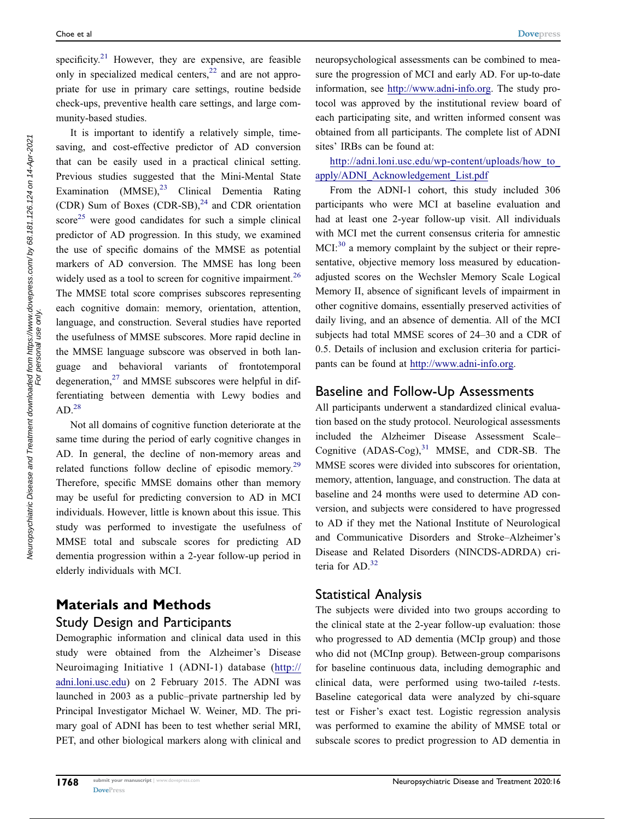<span id="page-1-0"></span>specificity.<sup>[21](#page-7-5)</sup> However, they are expensive, are feasible only in specialized medical centers,  $22$  and are not appropriate for use in primary care settings, routine bedside check-ups, preventive health care settings, and large community-based studies.

<span id="page-1-4"></span><span id="page-1-3"></span><span id="page-1-2"></span><span id="page-1-1"></span>It is important to identify a relatively simple, timesaving, and cost-effective predictor of AD conversion that can be easily used in a practical clinical setting. Previous studies suggested that the Mini-Mental State Examination (MMSE),<sup>[23](#page-7-7)</sup> Clinical Dementia Rating (CDR) Sum of Boxes (CDR-SB), $^{24}$  $^{24}$  $^{24}$  and CDR orientation score<sup>[25](#page-7-9)</sup> were good candidates for such a simple clinical predictor of AD progression. In this study, we examined the use of specific domains of the MMSE as potential markers of AD conversion. The MMSE has long been widely used as a tool to screen for cognitive impairment.<sup>[26](#page-7-10)</sup> The MMSE total score comprises subscores representing each cognitive domain: memory, orientation, attention, language, and construction. Several studies have reported the usefulness of MMSE subscores. More rapid decline in the MMSE language subscore was observed in both language and behavioral variants of frontotemporal degeneration, $27$  and MMSE subscores were helpful in differentiating between dementia with Lewy bodies and  $AD.<sup>28</sup>$  $AD.<sup>28</sup>$  $AD.<sup>28</sup>$ 

<span id="page-1-7"></span><span id="page-1-6"></span><span id="page-1-5"></span>Not all domains of cognitive function deteriorate at the same time during the period of early cognitive changes in AD. In general, the decline of non-memory areas and related functions follow decline of episodic memory.<sup>[29](#page-7-13)</sup> Therefore, specific MMSE domains other than memory may be useful for predicting conversion to AD in MCI individuals. However, little is known about this issue. This study was performed to investigate the usefulness of MMSE total and subscale scores for predicting AD dementia progression within a 2-year follow-up period in elderly individuals with MCI.

# Materials and Methods Study Design and Participants

Demographic information and clinical data used in this study were obtained from the Alzheimer's Disease Neuroimaging Initiative 1 (ADNI-1) database [\(http://](http://adni.loni.usc.edu) [adni.loni.usc.edu](http://adni.loni.usc.edu)) on 2 February 2015. The ADNI was launched in 2003 as a public–private partnership led by Principal Investigator Michael W. Weiner, MD. The primary goal of ADNI has been to test whether serial MRI, PET, and other biological markers along with clinical and neuropsychological assessments can be combined to measure the progression of MCI and early AD. For up-to-date information, see <http://www.adni-info.org>. The study protocol was approved by the institutional review board of each participating site, and written informed consent was obtained from all participants. The complete list of ADNI sites' IRBs can be found at:

[http://adni.loni.usc.edu/wp-content/uploads/how\\_to\\_](http://adni.loni.usc.edu/wp-content/uploads/how_to_apply/ADNI_Acknowledgement_List.pdf) [apply/ADNI\\_Acknowledgement\\_List.pdf](http://adni.loni.usc.edu/wp-content/uploads/how_to_apply/ADNI_Acknowledgement_List.pdf)

<span id="page-1-8"></span>From the ADNI-1 cohort, this study included 306 participants who were MCI at baseline evaluation and had at least one 2-year follow-up visit. All individuals with MCI met the current consensus criteria for amnestic MCI:<sup>[30](#page-7-14)</sup> a memory complaint by the subject or their representative, objective memory loss measured by educationadjusted scores on the Wechsler Memory Scale Logical Memory II, absence of significant levels of impairment in other cognitive domains, essentially preserved activities of daily living, and an absence of dementia. All of the MCI subjects had total MMSE scores of 24–30 and a CDR of 0.5. Details of inclusion and exclusion criteria for participants can be found at <http://www.adni-info.org>.

#### Baseline and Follow-Up Assessments

<span id="page-1-9"></span>All participants underwent a standardized clinical evaluation based on the study protocol. Neurological assessments included the Alzheimer Disease Assessment Scale– Cognitive  $(ADAS-Cog),<sup>31</sup>$  $(ADAS-Cog),<sup>31</sup>$  $(ADAS-Cog),<sup>31</sup>$  MMSE, and CDR-SB. The MMSE scores were divided into subscores for orientation, memory, attention, language, and construction. The data at baseline and 24 months were used to determine AD conversion, and subjects were considered to have progressed to AD if they met the National Institute of Neurological and Communicative Disorders and Stroke–Alzheimer's Disease and Related Disorders (NINCDS-ADRDA) criteria for  $AD<sup>32</sup>$  $AD<sup>32</sup>$  $AD<sup>32</sup>$ 

#### <span id="page-1-10"></span>Statistical Analysis

The subjects were divided into two groups according to the clinical state at the 2-year follow-up evaluation: those who progressed to AD dementia (MCIp group) and those who did not (MCInp group). Between-group comparisons for baseline continuous data, including demographic and clinical data, were performed using two-tailed t-tests. Baseline categorical data were analyzed by chi-square test or Fisher's exact test. Logistic regression analysis was performed to examine the ability of MMSE total or subscale scores to predict progression to AD dementia in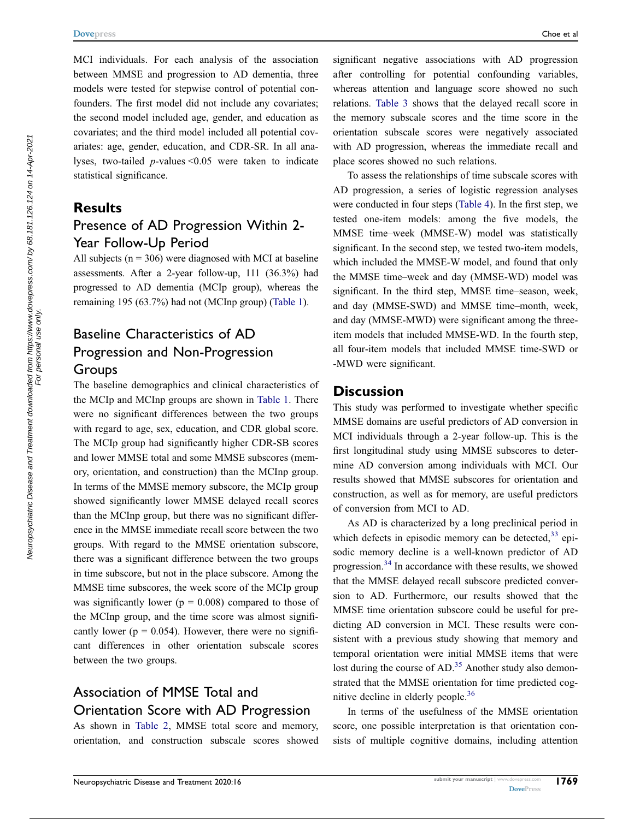MCI individuals. For each analysis of the association between MMSE and progression to AD dementia, three models were tested for stepwise control of potential confounders. The first model did not include any covariates; the second model included age, gender, and education as covariates; and the third model included all potential covariates: age, gender, education, and CDR-SR. In all analyses, two-tailed  $p$ -values < 0.05 were taken to indicate statistical significance.

#### Results

### Presence of AD Progression Within 2- Year Follow-Up Period

All subjects ( $n = 306$ ) were diagnosed with MCI at baseline assessments. After a 2-year follow-up, 111 (36.3%) had progressed to AD dementia (MCIp group), whereas the remaining 195 (63.7%) had not (MCInp group) ([Table 1\)](#page-3-0).

# Baseline Characteristics of AD Progression and Non-Progression Groups

The baseline demographics and clinical characteristics of the MCIp and MCInp groups are shown in [Table 1.](#page-3-0) There were no significant differences between the two groups with regard to age, sex, education, and CDR global score. The MCIp group had significantly higher CDR-SB scores and lower MMSE total and some MMSE subscores (memory, orientation, and construction) than the MCInp group. In terms of the MMSE memory subscore, the MCIp group showed significantly lower MMSE delayed recall scores than the MCInp group, but there was no significant difference in the MMSE immediate recall score between the two groups. With regard to the MMSE orientation subscore, there was a significant difference between the two groups in time subscore, but not in the place subscore. Among the MMSE time subscores, the week score of the MCIp group was significantly lower ( $p = 0.008$ ) compared to those of the MCInp group, and the time score was almost significantly lower ( $p = 0.054$ ). However, there were no significant differences in other orientation subscale scores between the two groups.

# Association of MMSE Total and Orientation Score with AD Progression

As shown in [Table 2,](#page-4-0) MMSE total score and memory, orientation, and construction subscale scores showed significant negative associations with AD progression after controlling for potential confounding variables, whereas attention and language score showed no such relations. [Table 3](#page-4-1) shows that the delayed recall score in the memory subscale scores and the time score in the orientation subscale scores were negatively associated with AD progression, whereas the immediate recall and place scores showed no such relations.

To assess the relationships of time subscale scores with AD progression, a series of logistic regression analyses were conducted in four steps [\(Table 4\)](#page-5-0). In the first step, we tested one-item models: among the five models, the MMSE time–week (MMSE-W) model was statistically significant. In the second step, we tested two-item models, which included the MMSE-W model, and found that only the MMSE time–week and day (MMSE-WD) model was significant. In the third step, MMSE time–season, week, and day (MMSE-SWD) and MMSE time–month, week, and day (MMSE-MWD) were significant among the threeitem models that included MMSE-WD. In the fourth step, all four-item models that included MMSE time-SWD or -MWD were significant.

#### **Discussion**

This study was performed to investigate whether specific MMSE domains are useful predictors of AD conversion in MCI individuals through a 2-year follow-up. This is the first longitudinal study using MMSE subscores to determine AD conversion among individuals with MCI. Our results showed that MMSE subscores for orientation and construction, as well as for memory, are useful predictors of conversion from MCI to AD.

<span id="page-2-1"></span><span id="page-2-0"></span>As AD is characterized by a long preclinical period in which defects in episodic memory can be detected,  $33$  episodic memory decline is a well-known predictor of AD progression.[34](#page-7-18) In accordance with these results, we showed that the MMSE delayed recall subscore predicted conversion to AD. Furthermore, our results showed that the MMSE time orientation subscore could be useful for predicting AD conversion in MCI. These results were consistent with a previous study showing that memory and temporal orientation were initial MMSE items that were lost during the course of AD.<sup>35</sup> Another study also demonstrated that the MMSE orientation for time predicted cog-nitive decline in elderly people.<sup>[36](#page-7-20)</sup>

<span id="page-2-3"></span><span id="page-2-2"></span>In terms of the usefulness of the MMSE orientation score, one possible interpretation is that orientation consists of multiple cognitive domains, including attention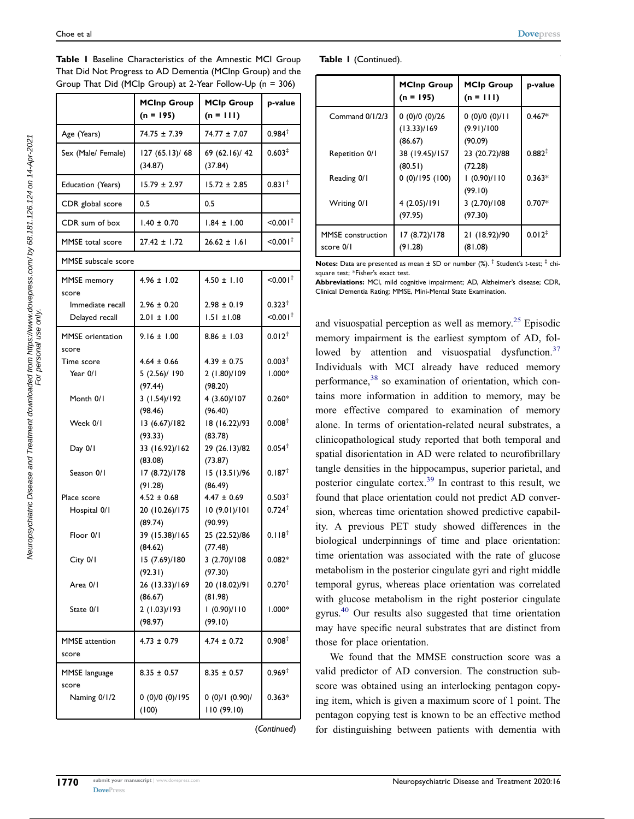|                                    | <b>MCInp Group</b><br>$(n = 195)$         | <b>MCIp Group</b><br>$(n = 111)$           | p-value                        |
|------------------------------------|-------------------------------------------|--------------------------------------------|--------------------------------|
| Age (Years)                        | 74.75 ± 7.39                              | 74.77 ± 7.07                               | $0.984^{\dagger}$              |
| Sex (Male/ Female)                 | 127 (65.13)/ 68<br>(34.87)                | 69 (62.16)/ 42<br>(37.84)                  | 0.603 <sup>‡</sup>             |
| Education (Years)                  | $15.79 \pm 2.97$                          | $15.72 \pm 2.85$                           | 0.831 <sup>†</sup>             |
| CDR global score                   | 0.5                                       | 0.5                                        |                                |
| CDR sum of box                     | $1.40 \pm 0.70$                           | $1.84 \pm 1.00$                            | $10.001^+$                     |
| <b>MMSE</b> total score            | $27.42 \pm 1.72$                          | $26.62 \pm 1.61$                           | 10.001                         |
| MMSE subscale score                |                                           |                                            |                                |
| <b>MMSE</b> memory<br>score        | $4.96 \pm 1.02$                           | $4.50 \pm 1.10$                            | $< 0.001$ <sup>t</sup>         |
| Immediate recall<br>Delayed recall | $2.96 \pm 0.20$<br>$2.01 \pm 1.00$        | $2.98 \pm 0.19$<br>$1.51 \pm 1.08$         | $0.323^+$<br>$10.001^+$        |
| <b>MMSE</b> orientation<br>score   | $9.16 \pm 1.00$                           | $8.86 \pm 1.03$                            | $0.012^{+}$                    |
| Time score<br>Year 0/1             | $4.64 \pm 0.66$<br>5(2.56)/190<br>(97.44) | $4.39 \pm 0.75$<br>2 (1.80)/109<br>(98.20) | 0.003 <sup>†</sup><br>$1.000*$ |
| Month 0/1                          | 3(1.54)/192<br>(98.46)                    | 4 (3.60)/107<br>(96.40)                    | $0.260*$                       |
| Week 0/1                           | 13 (6.67)/182<br>(93.33)                  | 18 (16.22)/93<br>(83.78)                   | $0.008^{\dagger}$              |
| Day 0/1                            | 33 (16.92)/162<br>(83.08)                 | 29 (26.13)/82<br>(73.87)                   | $0.054^{\dagger}$              |
| Season 0/1                         | 17 (8.72)/178<br>(91.28)                  | 15 (13.51)/96<br>(86.49)                   | 0.187 <sup>†</sup>             |
| Place score                        | $4.52 \pm 0.68$                           | $4.47 \pm 0.69$                            | 0.503 <sup>†</sup>             |
| Hospital 0/1                       | 20 (10.26)/175<br>(89.74)                 | 10 (9.01)/101<br>(90.99)                   | $0.724^{\dagger}$              |
| Floor 0/1                          | 39 (15.38)/165<br>(84.62)                 | 25 (22.52)/86<br>(77.48)                   | $0.118^{+}$                    |
| City 0/1                           | 15 (7.69)/180<br>(92.31)                  | 3(2.70)/108<br>(97.30)                     | $0.082*$                       |
| Area 0/1                           | 26 (13.33)/169<br>(86.67)                 | 20 (18.02)/91<br>(81.98)                   | $0.270^{+}$                    |
| State 0/1                          | 2 (1.03)/193<br>(98.97)                   | 1(0.90)/110<br>(99.10)                     | $1.000*$                       |
| <b>MMSE</b> attention<br>score     | $4.73 \pm 0.79$                           | $4.74 \pm 0.72$                            | 0.908 <sup>†</sup>             |
| <b>MMSE</b> language<br>score      | $8.35 \pm 0.57$                           | $8.35 \pm 0.57$                            | $0.969^{\dagger}$              |
| Naming 0/1/2                       | 0(0)/0(0)/195<br>(100)                    | 0(0)/1(0.90)/<br>110 (99.10)               | $0.363*$                       |
|                                    |                                           |                                            |                                |

<span id="page-3-0"></span>Table I Baseline Characteristics of the Amnestic MCI Group That Did Not Progress to AD Dementia (MCInp Group) and the Group That Did (MCIp Group) at 2-Year Follow-Up (n = 306)

(Continued)

|  | Table I (Continued). |
|--|----------------------|
|--|----------------------|

|                                       | <b>MCInp Group</b><br>$(n = 195)$      | <b>MCIp Group</b><br>$(n = 111)$      | p-value     |
|---------------------------------------|----------------------------------------|---------------------------------------|-------------|
| Command 0/1/2/3                       | 0(0)/0(0)/26<br>(13.33)/169<br>(86.67) | 0(0)/0(0)/11<br>(9.91)/100<br>(90.09) | $0.467*$    |
| Repetition 0/1                        | 38 (19.45)/157<br>(80.51)              | 23 (20.72)/88<br>(72.28)              | $0.882^{+}$ |
| Reading 0/1                           | 0(0)/195(100)                          | 1(0.90)/110<br>(99.10)                | $0.363*$    |
| Writing 0/1                           | 4 (2.05)/191<br>(97.95)                | 3(2.70)/108<br>(97.30)                | $0.707*$    |
| <b>MMSE</b> construction<br>score 0/1 | 17 (8.72)/178<br>(91.28)               | 21 (18.92)/90<br>(81.08)              | $0.012^{+}$ |

**Notes:** Data are presented as mean  $\pm$  SD or number (%).  $\dagger$  Student's t-test;  $\dagger$  chisquare test; \*Fisher's exact test.

Abbreviations: MCI, mild cognitive impairment; AD, Alzheimer's disease; CDR, Clinical Dementia Rating; MMSE, Mini-Mental State Examination.

<span id="page-3-3"></span><span id="page-3-2"></span><span id="page-3-1"></span>and visuospatial perception as well as memory.<sup>[25](#page-7-9)</sup> Episodic memory impairment is the earliest symptom of AD, followed by attention and visuospatial dysfunction. $37$ Individuals with MCI already have reduced memory performance,<sup>[38](#page-7-22)</sup> so examination of orientation, which contains more information in addition to memory, may be more effective compared to examination of memory alone. In terms of orientation-related neural substrates, a clinicopathological study reported that both temporal and spatial disorientation in AD were related to neurofibrillary tangle densities in the hippocampus, superior parietal, and posterior cingulate cortex[.39](#page-7-23) In contrast to this result, we found that place orientation could not predict AD conversion, whereas time orientation showed predictive capability. A previous PET study showed differences in the biological underpinnings of time and place orientation: time orientation was associated with the rate of glucose metabolism in the posterior cingulate gyri and right middle temporal gyrus, whereas place orientation was correlated with glucose metabolism in the right posterior cingulate gyrus[.40](#page-7-24) Our results also suggested that time orientation may have specific neural substrates that are distinct from those for place orientation.

<span id="page-3-4"></span>We found that the MMSE construction score was a valid predictor of AD conversion. The construction subscore was obtained using an interlocking pentagon copying item, which is given a maximum score of 1 point. The pentagon copying test is known to be an effective method for distinguishing between patients with dementia with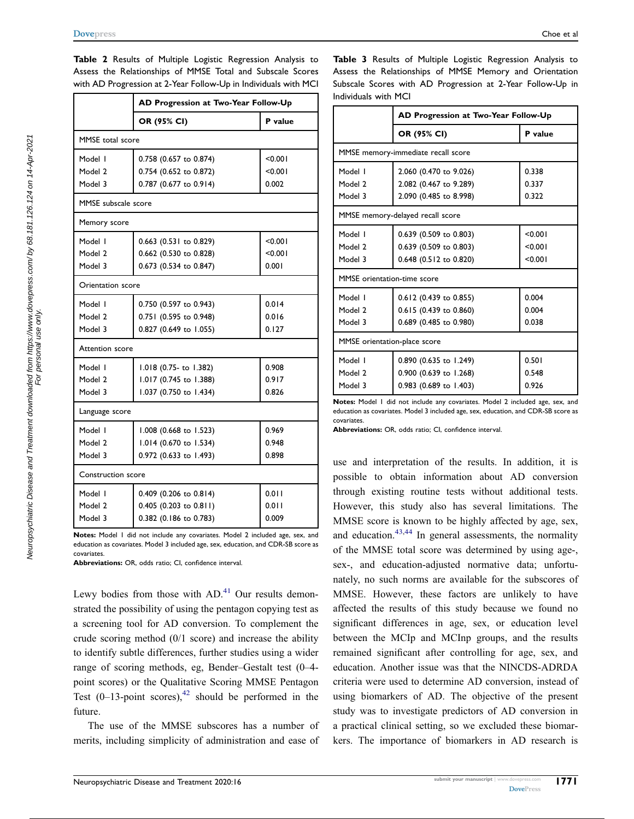|                           | AD Progression at Two-Year Follow-Up |         |
|---------------------------|--------------------------------------|---------|
|                           | OR (95% CI)                          | P value |
| MMSE total score          |                                      |         |
| Model I                   | 0.758 (0.657 to 0.874)               | < 0.001 |
| Model 2                   | 0.754 (0.652 to 0.872)               | < 0.001 |
| Model 3                   | 0.787 (0.677 to 0.914)               | 0.002   |
| MMSE subscale score       |                                      |         |
| Memory score              |                                      |         |
| Model I                   | 0.663 (0.531 to 0.829)               | < 0.001 |
| Model 2                   | 0.662 (0.530 to 0.828)               | < 0.001 |
| Model 3                   | 0.673 (0.534 to 0.847)               | 0.001   |
| Orientation score         |                                      |         |
| Model I                   | 0.750 (0.597 to 0.943)               | 0.014   |
| Model 2                   | 0.751 (0.595 to 0.948)               | 0.016   |
| Model 3                   | 0.827 (0.649 to 1.055)               | 0.127   |
| Attention score           |                                      |         |
| Model I                   | 1.018 (0.75- to 1.382)               | 0.908   |
| Model 2                   | 1.017 (0.745 to 1.388)               | 0.917   |
| Model 3                   | 1.037 (0.750 to 1.434)               | 0.826   |
| Language score            |                                      |         |
| Model I                   | 1.008 (0.668 to 1.523)               | 0.969   |
| Model 2                   | 1.014 (0.670 to 1.534)               | 0.948   |
| Model 3                   | 0.972 (0.633 to 1.493)               | 0.898   |
| <b>Construction score</b> |                                      |         |
| Model I                   | 0.409 (0.206 to 0.814)               | 0.011   |
| Model 2                   | $0.405$ (0.203 to 0.811)             | 0.011   |
| Model 3                   | 0.382 (0.186 to 0.783)               | 0.009   |

<span id="page-4-0"></span>Table 2 Results of Multiple Logistic Regression Analysis to Assess the Relationships of MMSE Total and Subscale Scores with AD Progression at 2-Year Follow-Up in Individuals with MCI

Notes: Model 1 did not include any covariates. Model 2 included age, sex, and education as covariates. Model 3 included age, sex, education, and CDR-SB score as covariates.

Abbreviations: OR, odds ratio; CI, confidence interval.

<span id="page-4-2"></span>Lewy bodies from those with  $AD<sup>41</sup>$  $AD<sup>41</sup>$  $AD<sup>41</sup>$  Our results demonstrated the possibility of using the pentagon copying test as a screening tool for AD conversion. To complement the crude scoring method (0/1 score) and increase the ability to identify subtle differences, further studies using a wider range of scoring methods, eg, Bender–Gestalt test (0–4 point scores) or the Qualitative Scoring MMSE Pentagon Test  $(0-13\text{-point scores})$ ,<sup>[42](#page-7-26)</sup> should be performed in the future.

<span id="page-4-3"></span>The use of the MMSE subscores has a number of merits, including simplicity of administration and ease of <span id="page-4-1"></span>Table 3 Results of Multiple Logistic Regression Analysis to Assess the Relationships of MMSE Memory and Orientation Subscale Scores with AD Progression at 2-Year Follow-Up in Individuals with MCI

|                                    | AD Progression at Two-Year Follow-Up |         |  |
|------------------------------------|--------------------------------------|---------|--|
|                                    | OR (95% CI)                          | P value |  |
| MMSE memory-immediate recall score |                                      |         |  |
| Model I                            | 2.060 (0.470 to 9.026)               | 0.338   |  |
| Model 2                            | 2.082 (0.467 to 9.289)               | 0.337   |  |
| Model 3                            | 2.090 (0.485 to 8.998)               | 0.322   |  |
| MMSE memory-delayed recall score   |                                      |         |  |
| Model I                            | 0.639 (0.509 to 0.803)               | < 0.001 |  |
| Model 2                            | 0.639 (0.509 to 0.803)               | < 0.001 |  |
| Model 3                            | 0.648 (0.512 to 0.820)               | < 0.001 |  |
| <b>MMSE</b> orientation-time score |                                      |         |  |
| Model I                            | 0.612 (0.439 to 0.855)               | 0.004   |  |
| Model 2                            | 0.615 (0.439 to 0.860)               | 0.004   |  |
| Model 3                            | 0.689 (0.485 to 0.980)               | 0.038   |  |
| MMSE orientation-place score       |                                      |         |  |
| Model I                            | 0.890 (0.635 to 1.249)               | 0.501   |  |
| Model 2                            | 0.900 (0.639 to 1.268)               | 0.548   |  |
| Model 3                            | 0.983 (0.689 to 1.403)               | 0.926   |  |

Notes: Model 1 did not include any covariates. Model 2 included age, sex, and education as covariates. Model 3 included age, sex, education, and CDR-SB score as covariates.

Abbreviations: OR, odds ratio; CI, confidence interval.

<span id="page-4-4"></span>use and interpretation of the results. In addition, it is possible to obtain information about AD conversion through existing routine tests without additional tests. However, this study also has several limitations. The MMSE score is known to be highly affected by age, sex, and education. $43,44$  $43,44$  $43,44$  In general assessments, the normality of the MMSE total score was determined by using age-, sex-, and education-adjusted normative data; unfortunately, no such norms are available for the subscores of MMSE. However, these factors are unlikely to have affected the results of this study because we found no significant differences in age, sex, or education level between the MCIp and MCInp groups, and the results remained significant after controlling for age, sex, and education. Another issue was that the NINCDS-ADRDA criteria were used to determine AD conversion, instead of using biomarkers of AD. The objective of the present study was to investigate predictors of AD conversion in a practical clinical setting, so we excluded these biomarkers. The importance of biomarkers in AD research is

For personal use only.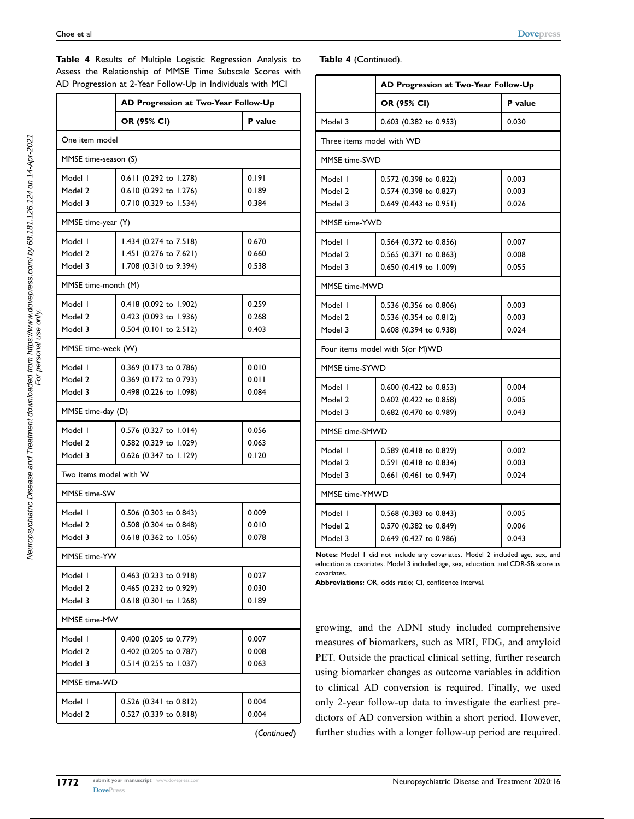|                        | AD Progression at Two-Year Follow-Up |         |
|------------------------|--------------------------------------|---------|
|                        | OR (95% CI)                          | P value |
| One item model         |                                      |         |
| MMSE time-season (S)   |                                      |         |
| Model I                | 0.611 (0.292 to 1.278)               | 0.191   |
| Model 2                | 0.610 (0.292 to 1.276)               | 0.189   |
| Model 3                | 0.710 (0.329 to 1.534)               | 0.384   |
| MMSE time-year (Y)     |                                      |         |
| Model I                | 1.434 (0.274 to 7.518)               | 0.670   |
| Model 2                | 1.451 (0.276 to 7.621)               | 0.660   |
| Model 3                | 1.708 (0.310 to 9.394)               | 0.538   |
| MMSE time-month (M)    |                                      |         |
| Model I                | 0.418 (0.092 to 1.902)               | 0.259   |
| Model 2                | 0.423 (0.093 to 1.936)               | 0.268   |
| Model 3                | 0.504 (0.101 to 2.512)               | 0.403   |
| MMSE time-week (W)     |                                      |         |
| Model I                | 0.369 (0.173 to 0.786)               | 0.010   |
| Model 2                | 0.369 (0.172 to 0.793)               | 0.011   |
| Model 3                | 0.498 (0.226 to 1.098)               | 0.084   |
| MMSE time-day (D)      |                                      |         |
| Model I                | 0.576 (0.327 to 1.014)               | 0.056   |
| Model 2                | 0.582 (0.329 to 1.029)               | 0.063   |
| Model 3                | 0.626 (0.347 to 1.129)               | 0.120   |
| Two items model with W |                                      |         |
| MMSF time-SW           |                                      |         |
| Model I                | 0.506 (0.303 to 0.843)               | 0.009   |
| Model 2                | 0.508 (0.304 to 0.848)               | 0.010   |
| Model 3                | 0.618 (0.362 to 1.056)               | 0.078   |
| MMSE time-YW           |                                      |         |
| Model I                | 0.463 (0.233 to 0.918)               | 0.027   |
| Model 2                | 0.465 (0.232 to 0.929)               | 0.030   |
| Model 3                | 0.618 (0.301 to 1.268)               | 0.189   |
| MMSE time-MW           |                                      |         |
| Model I                | 0.400 (0.205 to 0.779)               | 0.007   |
| Model 2                | 0.402 (0.205 to 0.787)               | 0.008   |
| Model 3                | 0.514 (0.255 to 1.037)               | 0.063   |
| MMSE time-WD           |                                      |         |
| Model I                | 0.526 (0.341 to 0.812)               | 0.004   |
| Model 2                | 0.527 (0.339 to 0.818)               | 0.004   |

<span id="page-5-0"></span>Table 4 Results of Multiple Logistic Regression Analysis to Assess the Relationship of MMSE Time Subscale Scores with AD Progression at 2-Year Follow-Up in Individuals with MCI

(Continued)

Table 4 (Continued).

|                           | AD Progression at Two-Year Follow-Up |         |  |
|---------------------------|--------------------------------------|---------|--|
|                           | OR (95% CI)                          | P value |  |
| Model 3                   | 0.603 (0.382 to 0.953)               | 0.030   |  |
| Three items model with WD |                                      |         |  |
| MMSE time-SWD             |                                      |         |  |
| Model I                   | 0.572 (0.398 to 0.822)               | 0.003   |  |
| Model 2                   | 0.574 (0.398 to 0.827)               | 0.003   |  |
| Model 3                   | 0.649 (0.443 to 0.951)               | 0.026   |  |
| MMSE time-YWD             |                                      |         |  |
| Model I                   | 0.564 (0.372 to 0.856)               | 0.007   |  |
| Model 2                   | 0.565 (0.371 to 0.863)               | 0.008   |  |
| Model 3                   | 0.650 (0.419 to 1.009)               | 0.055   |  |
| MMSE time-MWD             |                                      |         |  |
| Model I                   | 0.536 (0.356 to 0.806)               | 0.003   |  |
| Model 2                   | 0.536 (0.354 to 0.812)               | 0.003   |  |
| Model 3                   | 0.608 (0.394 to 0.938)               | 0.024   |  |
|                           | Four items model with S(or M)WD      |         |  |
| MMSE time-SYWD            |                                      |         |  |
| Model I                   | 0.600 (0.422 to 0.853)               | 0.004   |  |
| Model 2                   | 0.602 (0.422 to 0.858)               | 0.005   |  |
| Model 3                   | 0.682 (0.470 to 0.989)               | 0.043   |  |
| MMSE time-SMWD            |                                      |         |  |
| Model I                   | 0.589 (0.418 to 0.829)               | 0.002   |  |
| Model 2                   | 0.591 (0.418 to 0.834)               | 0.003   |  |
| Model 3                   | 0.661 (0.461 to 0.947)               | 0.024   |  |
| MMSE time-YMWD            |                                      |         |  |
| Model I                   | 0.568 (0.383 to 0.843)               | 0.005   |  |
| Model 2                   | 0.570 (0.382 to 0.849)               | 0.006   |  |
| Model 3                   | 0.649 (0.427 to 0.986)               | 0.043   |  |

Notes: Model 1 did not include any covariates. Model 2 included age, sex, and education as covariates. Model 3 included age, sex, education, and CDR-SB score as covariates.

Abbreviations: OR, odds ratio; CI, confidence interval.

growing, and the ADNI study included comprehensive measures of biomarkers, such as MRI, FDG, and amyloid PET. Outside the practical clinical setting, further research using biomarker changes as outcome variables in addition to clinical AD conversion is required. Finally, we used only 2-year follow-up data to investigate the earliest predictors of AD conversion within a short period. However, further studies with a longer follow-up period are required.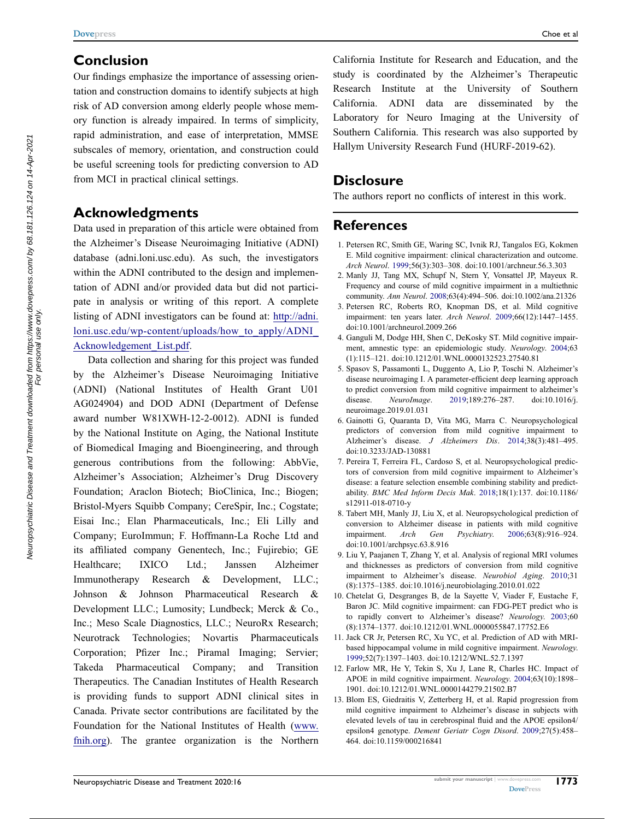## Conclusion

Our findings emphasize the importance of assessing orientation and construction domains to identify subjects at high risk of AD conversion among elderly people whose memory function is already impaired. In terms of simplicity, rapid administration, and ease of interpretation, MMSE subscales of memory, orientation, and construction could be useful screening tools for predicting conversion to AD from MCI in practical clinical settings.

# Acknowledgments

Data used in preparation of this article were obtained from the Alzheimer's Disease Neuroimaging Initiative (ADNI) database (adni.loni.usc.edu). As such, the investigators within the ADNI contributed to the design and implementation of ADNI and/or provided data but did not participate in analysis or writing of this report. A complete listing of ADNI investigators can be found at: [http://adni.](http://adni.loni.usc.edu/wp-content/uploads/how_to_apply/ADNI_Acknowledgement_List.pdf) [loni.usc.edu/wp-content/uploads/how\\_to\\_apply/ADNI\\_](http://adni.loni.usc.edu/wp-content/uploads/how_to_apply/ADNI_Acknowledgement_List.pdf) [Acknowledgement\\_List.pdf.](http://adni.loni.usc.edu/wp-content/uploads/how_to_apply/ADNI_Acknowledgement_List.pdf)

Data collection and sharing for this project was funded by the Alzheimer's Disease Neuroimaging Initiative (ADNI) (National Institutes of Health Grant U01 AG024904) and DOD ADNI (Department of Defense award number W81XWH-12-2-0012). ADNI is funded by the National Institute on Aging, the National Institute of Biomedical Imaging and Bioengineering, and through generous contributions from the following: AbbVie, Alzheimer's Association; Alzheimer's Drug Discovery Foundation; Araclon Biotech; BioClinica, Inc.; Biogen; Bristol-Myers Squibb Company; CereSpir, Inc.; Cogstate; Eisai Inc.; Elan Pharmaceuticals, Inc.; Eli Lilly and Company; EuroImmun; F. Hoffmann-La Roche Ltd and its affiliated company Genentech, Inc.; Fujirebio; GE Healthcare; IXICO Ltd.; Janssen Alzheimer Immunotherapy Research & Development, LLC.; Johnson & Johnson Pharmaceutical Research & Development LLC.; Lumosity; Lundbeck; Merck & Co., Inc.; Meso Scale Diagnostics, LLC.; NeuroRx Research; Neurotrack Technologies; Novartis Pharmaceuticals Corporation; Pfizer Inc.; Piramal Imaging; Servier; Takeda Pharmaceutical Company; and Transition Therapeutics. The Canadian Institutes of Health Research is providing funds to support ADNI clinical sites in Canada. Private sector contributions are facilitated by the Foundation for the National Institutes of Health [\(www.](http://www.fnih.org) [fnih.org\)](http://www.fnih.org). The grantee organization is the Northern California Institute for Research and Education, and the study is coordinated by the Alzheimer's Therapeutic Research Institute at the University of Southern California. ADNI data are disseminated by the Laboratory for Neuro Imaging at the University of Southern California. This research was also supported by Hallym University Research Fund (HURF-2019-62).

## **Disclosure**

The authors report no conflicts of interest in this work.

# References

- <span id="page-6-0"></span>1. Petersen RC, Smith GE, Waring SC, Ivnik RJ, Tangalos EG, Kokmen E. Mild cognitive impairment: clinical characterization and outcome. Arch Neurol. [1999;](#page-0-5)56(3):303–308. doi:[10.1001/archneur.56.3.303](https://doi.org/10.1001/archneur.56.3.303)
- <span id="page-6-1"></span>2. Manly JJ, Tang MX, Schupf N, Stern Y, Vonsattel JP, Mayeux R. Frequency and course of mild cognitive impairment in a multiethnic community. Ann Neurol. [2008](#page-0-6);63(4):494–506. doi:[10.1002/ana.21326](https://doi.org/10.1002/ana.21326)
- <span id="page-6-2"></span>3. Petersen RC, Roberts RO, Knopman DS, et al. Mild cognitive impairment: ten years later. Arch Neurol. [2009;](#page-0-6)66(12):1447–1455. doi:[10.1001/archneurol.2009.266](https://doi.org/10.1001/archneurol.2009.266)
- <span id="page-6-3"></span>4. Ganguli M, Dodge HH, Shen C, DeKosky ST. Mild cognitive impairment, amnestic type: an epidemiologic study. Neurology. [2004](#page-0-7);63 (1):115–121. doi:[10.1212/01.WNL.0000132523.27540.81](https://doi.org/10.1212/01.WNL.0000132523.27540.81)
- <span id="page-6-4"></span>5. Spasov S, Passamonti L, Duggento A, Lio P, Toschi N. Alzheimer's disease neuroimaging I. A parameter-efficient deep learning approach to predict conversion from mild cognitive impairment to alzheimer's disease. NeuroImage. [2019](#page-0-7);189:276–287. doi:[10.1016/j.](https://doi.org/10.1016/j.neuroimage.2019.01.031) [neuroimage.2019.01.031](https://doi.org/10.1016/j.neuroimage.2019.01.031)
- <span id="page-6-5"></span>6. Gainotti G, Quaranta D, Vita MG, Marra C. Neuropsychological predictors of conversion from mild cognitive impairment to Alzheimer's disease. J Alzheimers Dis. [2014;](#page-0-8)38(3):481–495. doi:[10.3233/JAD-130881](https://doi.org/10.3233/JAD-130881)
- 7. Pereira T, Ferreira FL, Cardoso S, et al. Neuropsychological predictors of conversion from mild cognitive impairment to Alzheimer's disease: a feature selection ensemble combining stability and predictability. BMC Med Inform Decis Mak. 2018;18(1):137. doi:[10.1186/](https://doi.org/10.1186/s12911-018-0710-y) [s12911-018-0710-y](https://doi.org/10.1186/s12911-018-0710-y)
- <span id="page-6-6"></span>8. Tabert MH, Manly JJ, Liu X, et al. Neuropsychological prediction of conversion to Alzheimer disease in patients with mild cognitive impairment. Arch Gen Psychiatry. [2006;](#page-0-8)63(8):916–924. doi:[10.1001/archpsyc.63.8.916](https://doi.org/10.1001/archpsyc.63.8.916)
- <span id="page-6-7"></span>9. Liu Y, Paajanen T, Zhang Y, et al. Analysis of regional MRI volumes and thicknesses as predictors of conversion from mild cognitive impairment to Alzheimer's disease. Neurobiol Aging. [2010](#page-0-9);31 (8):1375–1385. doi:[10.1016/j.neurobiolaging.2010.01.022](https://doi.org/10.1016/j.neurobiolaging.2010.01.022)
- 10. Chetelat G, Desgranges B, de la Sayette V, Viader F, Eustache F, Baron JC. Mild cognitive impairment: can FDG-PET predict who is to rapidly convert to Alzheimer's disease? Neurology. 2003;60 (8):1374–1377. doi:[10.1212/01.WNL.0000055847.17752.E6](https://doi.org/10.1212/01.WNL.0000055847.17752.E6)
- <span id="page-6-8"></span>11. Jack CR Jr, Petersen RC, Xu YC, et al. Prediction of AD with MRIbased hippocampal volume in mild cognitive impairment. Neurology. [1999](#page-0-9);52(7):1397–1403. doi:[10.1212/WNL.52.7.1397](https://doi.org/10.1212/WNL.52.7.1397)
- <span id="page-6-9"></span>12. Farlow MR, He Y, Tekin S, Xu J, Lane R, Charles HC. Impact of APOE in mild cognitive impairment. Neurology. [2004;](#page-0-9)63(10):1898– 1901. doi:[10.1212/01.WNL.0000144279.21502.B7](https://doi.org/10.1212/01.WNL.0000144279.21502.B7)
- 13. Blom ES, Giedraitis V, Zetterberg H, et al. Rapid progression from mild cognitive impairment to Alzheimer's disease in subjects with elevated levels of tau in cerebrospinal fluid and the APOE epsilon4/ epsilon4 genotype. Dement Geriatr Cogn Disord. 2009;27(5):458– 464. doi:[10.1159/000216841](https://doi.org/10.1159/000216841)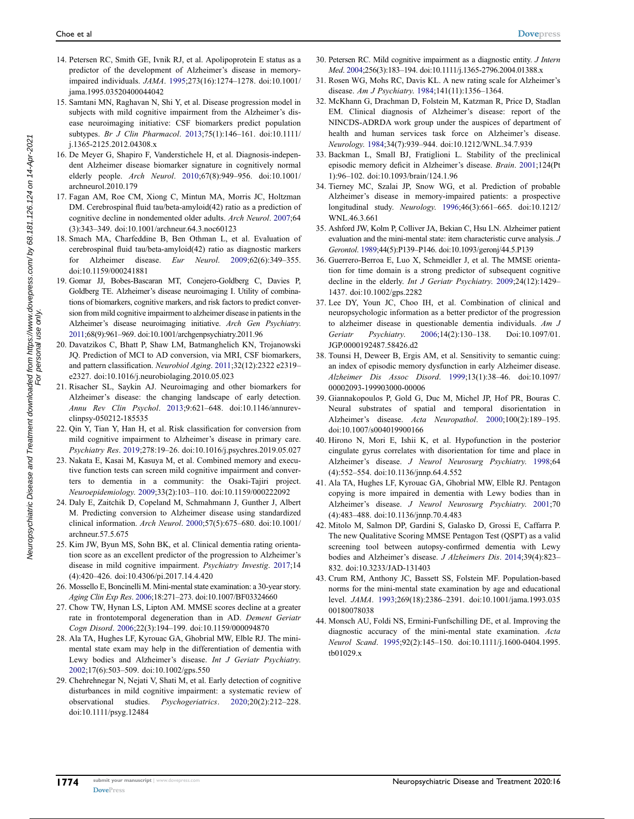- <span id="page-7-0"></span>14. Petersen RC, Smith GE, Ivnik RJ, et al. Apolipoprotein E status as a predictor of the development of Alzheimer's disease in memoryimpaired individuals. JAMA. [1995](#page-0-9);273(16):1274–1278. doi:[10.1001/](https://doi.org/10.1001/jama.1995.03520400044042) [jama.1995.03520400044042](https://doi.org/10.1001/jama.1995.03520400044042)
- <span id="page-7-1"></span>15. Samtani MN, Raghavan N, Shi Y, et al. Disease progression model in subjects with mild cognitive impairment from the Alzheimer's disease neuroimaging initiative: CSF biomarkers predict population subtypes. Br J Clin Pharmacol. [2013](#page-0-9);75(1):146–161. doi:[10.1111/](https://doi.org/10.1111/j.1365-2125.2012.04308.x) [j.1365-2125.2012.04308.x](https://doi.org/10.1111/j.1365-2125.2012.04308.x)
- 16. De Meyer G, Shapiro F, Vanderstichele H, et al. Diagnosis-independent Alzheimer disease biomarker signature in cognitively normal elderly people. Arch Neurol. 2010;67(8):949–956. doi:[10.1001/](https://doi.org/10.1001/archneurol.2010.179) [archneurol.2010.179](https://doi.org/10.1001/archneurol.2010.179)
- 17. Fagan AM, Roe CM, Xiong C, Mintun MA, Morris JC, Holtzman DM. Cerebrospinal fluid tau/beta-amyloid(42) ratio as a prediction of cognitive decline in nondemented older adults. Arch Neurol. 2007;64 (3):343–349. doi:[10.1001/archneur.64.3.noc60123](https://doi.org/10.1001/archneur.64.3.noc60123)
- <span id="page-7-2"></span>18. Smach MA, Charfeddine B, Ben Othman L, et al. Evaluation of cerebrospinal fluid tau/beta-amyloid(42) ratio as diagnostic markers for Alzheimer disease. Eur Neurol. [2009;](#page-0-9)62(6):349–355. doi:[10.1159/000241881](https://doi.org/10.1159/000241881)
- <span id="page-7-3"></span>19. Gomar JJ, Bobes-Bascaran MT, Conejero-Goldberg C, Davies P, Goldberg TE. Alzheimer's disease neuroimaging I. Utility of combinations of biomarkers, cognitive markers, and risk factors to predict conversion from mild cognitive impairment to alzheimer disease in patients in the Alzheimer's disease neuroimaging initiative. Arch Gen Psychiatry. [2011;](#page-0-10)68(9):961–969. doi:[10.1001/archgenpsychiatry.2011.96](https://doi.org/10.1001/archgenpsychiatry.2011.96)
- <span id="page-7-4"></span>20. Davatzikos C, Bhatt P, Shaw LM, Batmanghelich KN, Trojanowski JQ. Prediction of MCI to AD conversion, via MRI, CSF biomarkers, and pattern classification. Neurobiol Aging. [2011](#page-0-10);32(12):2322 e2319– e2327. doi:[10.1016/j.neurobiolaging.2010.05.023](https://doi.org/10.1016/j.neurobiolaging.2010.05.023)
- <span id="page-7-5"></span>21. Risacher SL, Saykin AJ. Neuroimaging and other biomarkers for Alzheimer's disease: the changing landscape of early detection. Annu Rev Clin Psychol. [2013](#page-0-11);9:621–648. doi:[10.1146/annurev](https://doi.org/10.1146/annurev-clinpsy-050212-185535)[clinpsy-050212-185535](https://doi.org/10.1146/annurev-clinpsy-050212-185535)
- <span id="page-7-6"></span>22. Qin Y, Tian Y, Han H, et al. Risk classification for conversion from mild cognitive impairment to Alzheimer's disease in primary care. Psychiatry Res. [2019](#page-1-0);278:19–26. doi:[10.1016/j.psychres.2019.05.027](https://doi.org/10.1016/j.psychres.2019.05.027)
- <span id="page-7-7"></span>23. Nakata E, Kasai M, Kasuya M, et al. Combined memory and executive function tests can screen mild cognitive impairment and converters to dementia in a community: the Osaki-Tajiri project. Neuroepidemiology. [2009;](#page-1-1)33(2):103–110. doi:[10.1159/000222092](https://doi.org/10.1159/000222092)
- <span id="page-7-8"></span>24. Daly E, Zaitchik D, Copeland M, Schmahmann J, Gunther J, Albert M. Predicting conversion to Alzheimer disease using standardized clinical information. Arch Neurol. [2000;](#page-1-2)57(5):675–680. doi:[10.1001/](https://doi.org/10.1001/archneur.57.5.675) [archneur.57.5.675](https://doi.org/10.1001/archneur.57.5.675)
- <span id="page-7-9"></span>25. Kim JW, Byun MS, Sohn BK, et al. Clinical dementia rating orientation score as an excellent predictor of the progression to Alzheimer's disease in mild cognitive impairment. Psychiatry Investig. [2017](#page-1-3);14 (4):420–426. doi:[10.4306/pi.2017.14.4.420](https://doi.org/10.4306/pi.2017.14.4.420)
- <span id="page-7-10"></span>26. Mossello E, Boncinelli M. Mini-mental state examination: a 30-year story. Aging Clin Exp Res. [2006](#page-1-4);18:271–273. doi:[10.1007/BF03324660](https://doi.org/10.1007/BF03324660)
- <span id="page-7-11"></span>27. Chow TW, Hynan LS, Lipton AM. MMSE scores decline at a greater rate in frontotemporal degeneration than in AD. Dement Geriatr Cogn Disord. [2006](#page-1-5);22(3):194–199. doi:[10.1159/000094870](https://doi.org/10.1159/000094870)
- <span id="page-7-12"></span>28. Ala TA, Hughes LF, Kyrouac GA, Ghobrial MW, Elble RJ. The minimental state exam may help in the differentiation of dementia with Lewy bodies and Alzheimer's disease. Int J Geriatr Psychiatry. [2002;](#page-1-6)17(6):503–509. doi:[10.1002/gps.550](https://doi.org/10.1002/gps.550)
- <span id="page-7-13"></span>29. Chehrehnegar N, Nejati V, Shati M, et al. Early detection of cognitive disturbances in mild cognitive impairment: a systematic review of observational studies. Psychogeriatrics. [2020;](#page-1-7)20(2):212–228. doi:[10.1111/psyg.12484](https://doi.org/10.1111/psyg.12484)
- <span id="page-7-14"></span>30. Petersen RC. Mild cognitive impairment as a diagnostic entity. J Intern Med. [2004](#page-1-8);256(3):183–194. doi:[10.1111/j.1365-2796.2004.01388.x](https://doi.org/10.1111/j.1365-2796.2004.01388.x)
- <span id="page-7-15"></span>31. Rosen WG, Mohs RC, Davis KL. A new rating scale for Alzheimer's disease. Am J Psychiatry. [1984](#page-1-9);141(11):1356–1364.
- <span id="page-7-16"></span>32. McKhann G, Drachman D, Folstein M, Katzman R, Price D, Stadlan EM. Clinical diagnosis of Alzheimer's disease: report of the NINCDS-ADRDA work group under the auspices of department of health and human services task force on Alzheimer's disease. Neurology. [1984](#page-1-10);34(7):939–944. doi:[10.1212/WNL.34.7.939](https://doi.org/10.1212/WNL.34.7.939)
- <span id="page-7-17"></span>33. Backman L, Small BJ, Fratiglioni L. Stability of the preclinical episodic memory deficit in Alzheimer's disease. Brain. [2001;](#page-2-0)124(Pt 1):96–102. doi:[10.1093/brain/124.1.96](https://doi.org/10.1093/brain/124.1.96)
- <span id="page-7-18"></span>34. Tierney MC, Szalai JP, Snow WG, et al. Prediction of probable Alzheimer's disease in memory-impaired patients: a prospective longitudinal study. Neurology. [1996](#page-2-1);46(3):661–665. doi:[10.1212/](https://doi.org/10.1212/WNL.46.3.661) [WNL.46.3.661](https://doi.org/10.1212/WNL.46.3.661)
- <span id="page-7-19"></span>35. Ashford JW, Kolm P, Colliver JA, Bekian C, Hsu LN. Alzheimer patient evaluation and the mini-mental state: item characteristic curve analysis. J Gerontol. [1989;](#page-2-2)44(5):P139–P146. doi:[10.1093/geronj/44.5.P139](https://doi.org/10.1093/geronj/44.5.P139)
- <span id="page-7-20"></span>36. Guerrero-Berroa E, Luo X, Schmeidler J, et al. The MMSE orientation for time domain is a strong predictor of subsequent cognitive decline in the elderly. Int J Geriatr Psychiatry. [2009;](#page-2-3)24(12):1429– 1437. doi:[10.1002/gps.2282](https://doi.org/10.1002/gps.2282)
- <span id="page-7-21"></span>37. Lee DY, Youn JC, Choo IH, et al. Combination of clinical and neuropsychologic information as a better predictor of the progression to alzheimer disease in questionable dementia individuals. Am J Geriatr Psychiatry. [2006](#page-3-1);14(2):130–138. Doi:[10.1097/01.](https://doi.org/10.1097/01.JGP.0000192487.58426.d2) [JGP.0000192487.58426.d2](https://doi.org/10.1097/01.JGP.0000192487.58426.d2)
- <span id="page-7-22"></span>38. Tounsi H, Deweer B, Ergis AM, et al. Sensitivity to semantic cuing: an index of episodic memory dysfunction in early Alzheimer disease. Alzheimer Dis Assoc Disord. [1999](#page-3-2);13(1):38–46. doi:[10.1097/](https://doi.org/10.1097/00002093-199903000-00006) [00002093-199903000-00006](https://doi.org/10.1097/00002093-199903000-00006)
- <span id="page-7-23"></span>39. Giannakopoulos P, Gold G, Duc M, Michel JP, Hof PR, Bouras C. Neural substrates of spatial and temporal disorientation in Alzheimer's disease. Acta Neuropathol. [2000;](#page-3-3)100(2):189–195. doi:[10.1007/s004019900166](https://doi.org/10.1007/s004019900166)
- <span id="page-7-24"></span>40. Hirono N, Mori E, Ishii K, et al. Hypofunction in the posterior cingulate gyrus correlates with disorientation for time and place in Alzheimer's disease. J Neurol Neurosurg Psychiatry. [1998](#page-3-4);64 (4):552–554. doi:[10.1136/jnnp.64.4.552](https://doi.org/10.1136/jnnp.64.4.552)
- <span id="page-7-25"></span>41. Ala TA, Hughes LF, Kyrouac GA, Ghobrial MW, Elble RJ. Pentagon copying is more impaired in dementia with Lewy bodies than in Alzheimer's disease. J Neurol Neurosurg Psychiatry. [2001](#page-4-2);70 (4):483–488. doi:[10.1136/jnnp.70.4.483](https://doi.org/10.1136/jnnp.70.4.483)
- <span id="page-7-26"></span>42. Mitolo M, Salmon DP, Gardini S, Galasko D, Grossi E, Caffarra P. The new Qualitative Scoring MMSE Pentagon Test (QSPT) as a valid screening tool between autopsy-confirmed dementia with Lewy bodies and Alzheimer's disease. J Alzheimers Dis. [2014;](#page-4-3)39(4):823– 832. doi:[10.3233/JAD-131403](https://doi.org/10.3233/JAD-131403)
- <span id="page-7-27"></span>43. Crum RM, Anthony JC, Bassett SS, Folstein MF. Population-based norms for the mini-mental state examination by age and educational level. JAMA. [1993](#page-4-4);269(18):2386–2391. doi:[10.1001/jama.1993.035](https://doi.org/10.1001/jama.1993.03500180078038) [00180078038](https://doi.org/10.1001/jama.1993.03500180078038)
- <span id="page-7-28"></span>44. Monsch AU, Foldi NS, Ermini-Funfschilling DE, et al. Improving the diagnostic accuracy of the mini-mental state examination. Acta Neurol Scand. [1995](#page-4-4);92(2):145–150. doi:[10.1111/j.1600-0404.1995.](https://doi.org/10.1111/j.1600-0404.1995.tb01029.x) [tb01029.x](https://doi.org/10.1111/j.1600-0404.1995.tb01029.x)